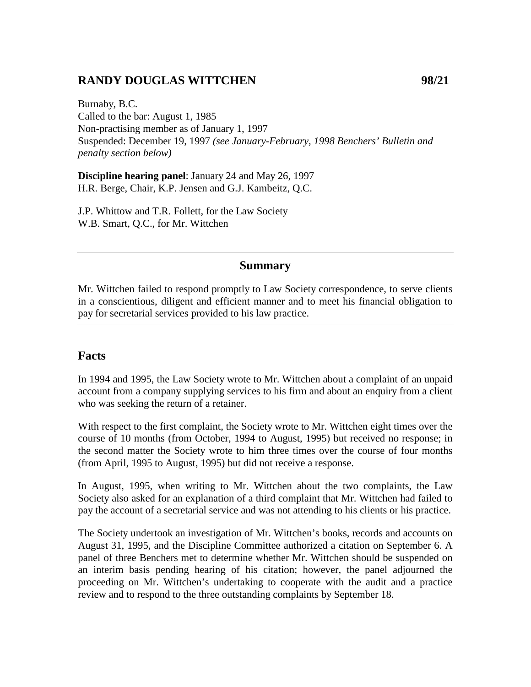# **RANDY DOUGLAS WITTCHEN 98/21**

Burnaby, B.C. Called to the bar: August 1, 1985 Non-practising member as of January 1, 1997 Suspended: December 19, 1997 *(see January-February, 1998 Benchers' Bulletin and penalty section below)*

**Discipline hearing panel**: January 24 and May 26, 1997 H.R. Berge, Chair, K.P. Jensen and G.J. Kambeitz, Q.C.

J.P. Whittow and T.R. Follett, for the Law Society W.B. Smart, Q.C., for Mr. Wittchen

#### **Summary**

Mr. Wittchen failed to respond promptly to Law Society correspondence, to serve clients in a conscientious, diligent and efficient manner and to meet his financial obligation to pay for secretarial services provided to his law practice.

#### **Facts**

In 1994 and 1995, the Law Society wrote to Mr. Wittchen about a complaint of an unpaid account from a company supplying services to his firm and about an enquiry from a client who was seeking the return of a retainer.

With respect to the first complaint, the Society wrote to Mr. Wittchen eight times over the course of 10 months (from October, 1994 to August, 1995) but received no response; in the second matter the Society wrote to him three times over the course of four months (from April, 1995 to August, 1995) but did not receive a response.

In August, 1995, when writing to Mr. Wittchen about the two complaints, the Law Society also asked for an explanation of a third complaint that Mr. Wittchen had failed to pay the account of a secretarial service and was not attending to his clients or his practice.

The Society undertook an investigation of Mr. Wittchen's books, records and accounts on August 31, 1995, and the Discipline Committee authorized a citation on September 6. A panel of three Benchers met to determine whether Mr. Wittchen should be suspended on an interim basis pending hearing of his citation; however, the panel adjourned the proceeding on Mr. Wittchen's undertaking to cooperate with the audit and a practice review and to respond to the three outstanding complaints by September 18.